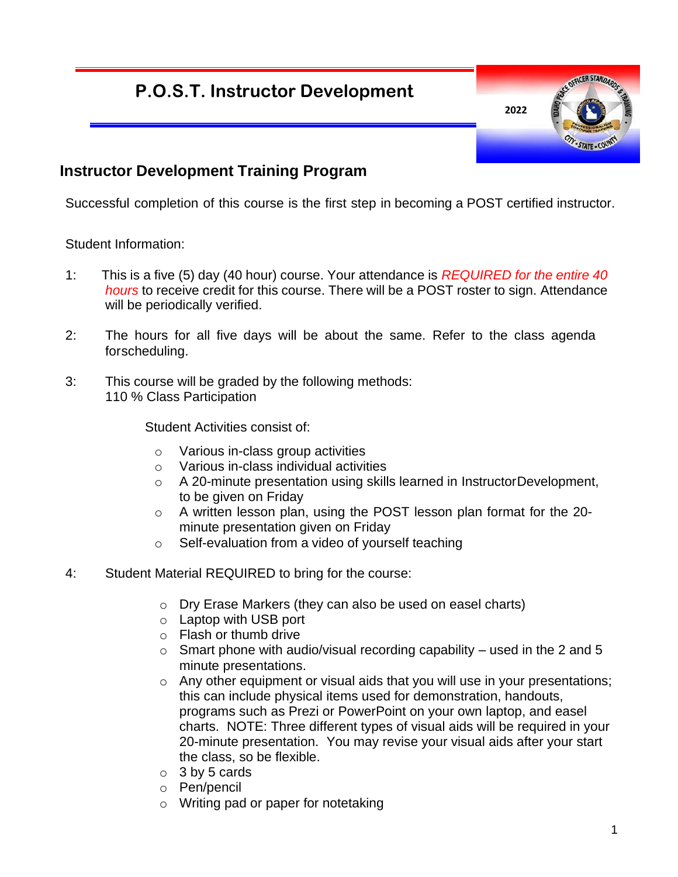## **P.O.S.T. Instructor Development**

**2022**



## **Instructor Development Training Program**

Successful completion of this course is the first step in becoming a POST certified instructor.

Student Information:

- 1: This is a five (5) day (40 hour) course. Your attendance is *REQUIRED for the entire 40 hours* to receive credit for this course. There will be a POST roster to sign. Attendance will be periodically verified.
- 2: The hours for all five days will be about the same. Refer to the class agenda forscheduling.
- 3: This course will be graded by the following methods: 110 % Class Participation

Student Activities consist of:

- o Various in-class group activities
- o Various in-class individual activities
- $\circ$  A 20-minute presentation using skills learned in InstructorDevelopment, to be given on Friday
- o A written lesson plan, using the POST lesson plan format for the 20 minute presentation given on Friday
- o Self-evaluation from a video of yourself teaching
- 4: Student Material REQUIRED to bring for the course:
	- o Dry Erase Markers (they can also be used on easel charts)
	- o Laptop with USB port
	- o Flash or thumb drive
	- $\circ$  Smart phone with audio/visual recording capability used in the 2 and 5 minute presentations.
	- o Any other equipment or visual aids that you will use in your presentations; this can include physical items used for demonstration, handouts, programs such as Prezi or PowerPoint on your own laptop, and easel charts. NOTE: Three different types of visual aids will be required in your 20-minute presentation. You may revise your visual aids after your start the class, so be flexible.
	- $\circ$  3 by 5 cards
	- o Pen/pencil
	- o Writing pad or paper for notetaking